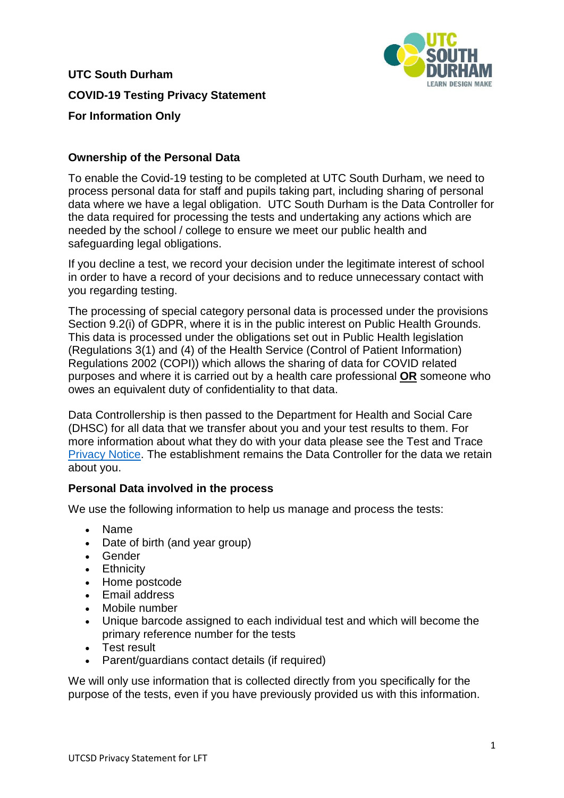

**UTC South Durham COVID-19 Testing Privacy Statement For Information Only** 

# **Ownership of the Personal Data**

To enable the Covid-19 testing to be completed at UTC South Durham, we need to process personal data for staff and pupils taking part, including sharing of personal data where we have a legal obligation. UTC South Durham is the Data Controller for the data required for processing the tests and undertaking any actions which are needed by the school / college to ensure we meet our public health and safeguarding legal obligations.

If you decline a test, we record your decision under the legitimate interest of school in order to have a record of your decisions and to reduce unnecessary contact with you regarding testing.

The processing of special category personal data is processed under the provisions Section 9.2(i) of GDPR, where it is in the public interest on Public Health Grounds. This data is processed under the obligations set out in Public Health legislation (Regulations 3(1) and (4) of the Health Service (Control of Patient Information) Regulations 2002 (COPI)) which allows the sharing of data for COVID related purposes and where it is carried out by a health care professional **OR** someone who owes an equivalent duty of confidentiality to that data.

Data Controllership is then passed to the Department for Health and Social Care (DHSC) for all data that we transfer about you and your test results to them. For more information about what they do with your data please see the Test and Trace [Privacy Notice.](https://contact-tracing.phe.gov.uk/help/privacy-notice) The establishment remains the Data Controller for the data we retain about you.

# **Personal Data involved in the process**

We use the following information to help us manage and process the tests:

- Name
- Date of birth (and year group)
- Gender
- Ethnicity
- Home postcode
- Email address
- Mobile number
- Unique barcode assigned to each individual test and which will become the primary reference number for the tests
- Test result
- Parent/guardians contact details (if required)

We will only use information that is collected directly from you specifically for the purpose of the tests, even if you have previously provided us with this information.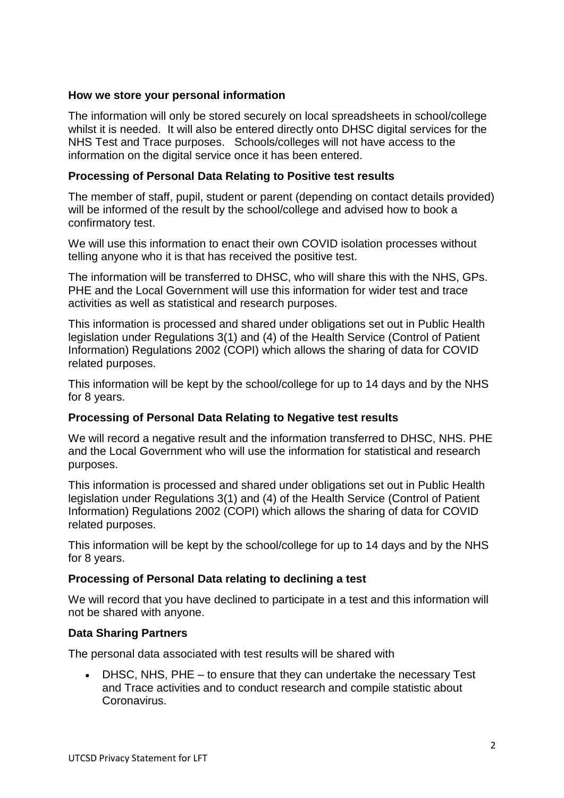## **How we store your personal information**

The information will only be stored securely on local spreadsheets in school/college whilst it is needed. It will also be entered directly onto DHSC digital services for the NHS Test and Trace purposes. Schools/colleges will not have access to the information on the digital service once it has been entered.

## **Processing of Personal Data Relating to Positive test results**

The member of staff, pupil, student or parent (depending on contact details provided) will be informed of the result by the school/college and advised how to book a confirmatory test.

We will use this information to enact their own COVID isolation processes without telling anyone who it is that has received the positive test.

The information will be transferred to DHSC, who will share this with the NHS, GPs. PHE and the Local Government will use this information for wider test and trace activities as well as statistical and research purposes.

This information is processed and shared under obligations set out in Public Health legislation under Regulations 3(1) and (4) of the Health Service (Control of Patient Information) Regulations 2002 (COPI) which allows the sharing of data for COVID related purposes.

This information will be kept by the school/college for up to 14 days and by the NHS for 8 years.

#### **Processing of Personal Data Relating to Negative test results**

We will record a negative result and the information transferred to DHSC, NHS. PHE and the Local Government who will use the information for statistical and research purposes.

This information is processed and shared under obligations set out in Public Health legislation under Regulations 3(1) and (4) of the Health Service (Control of Patient Information) Regulations 2002 (COPI) which allows the sharing of data for COVID related purposes.

This information will be kept by the school/college for up to 14 days and by the NHS for 8 years.

#### **Processing of Personal Data relating to declining a test**

We will record that you have declined to participate in a test and this information will not be shared with anyone.

#### **Data Sharing Partners**

The personal data associated with test results will be shared with

 DHSC, NHS, PHE – to ensure that they can undertake the necessary Test and Trace activities and to conduct research and compile statistic about Coronavirus.